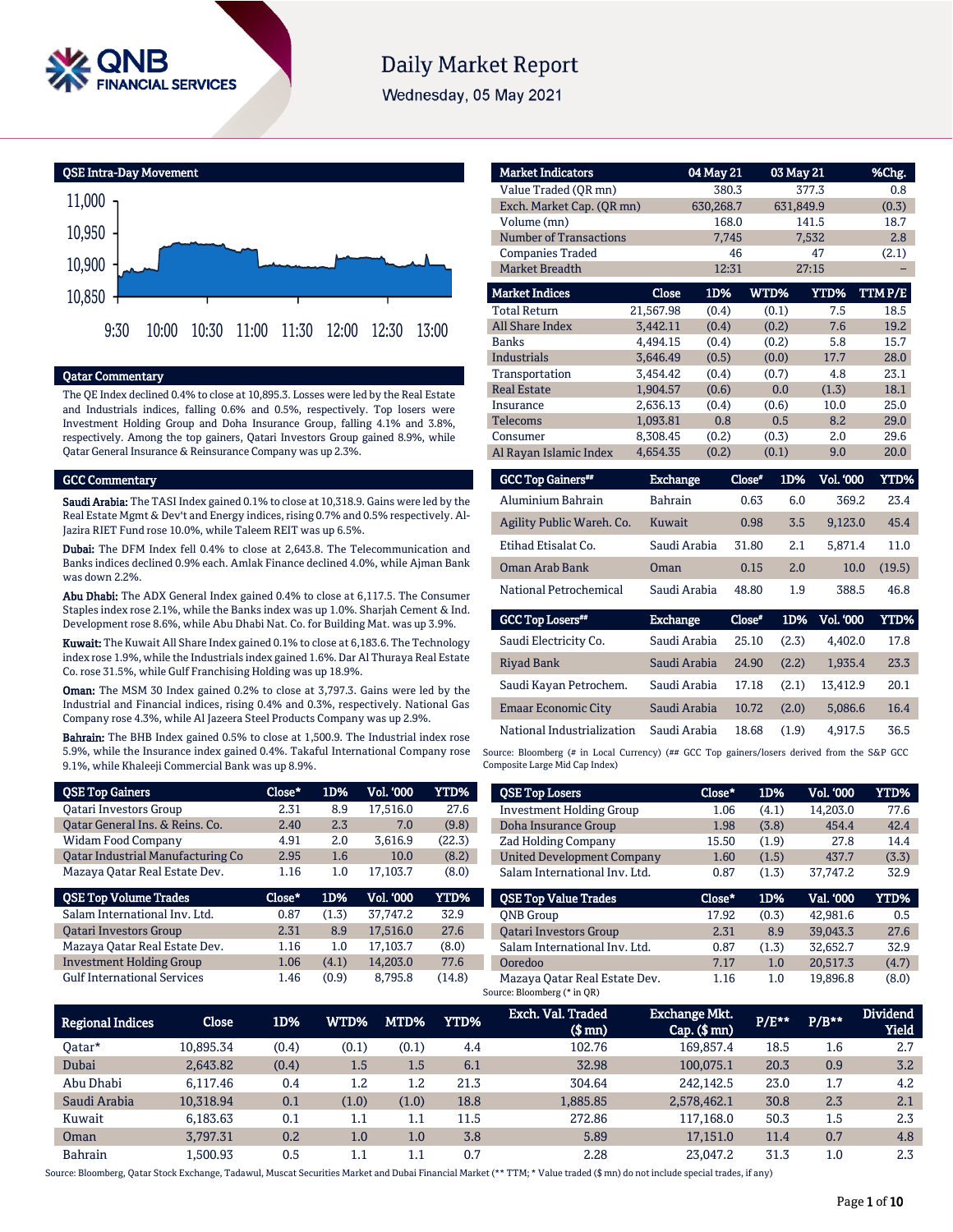

# **Daily Market Report**

Wednesday, 05 May 2021



#### Qatar Commentary

The QE Index declined 0.4% to close at 10,895.3. Losses were led by the Real Estate and Industrials indices, falling 0.6% and 0.5%, respectively. Top losers were Investment Holding Group and Doha Insurance Group, falling 4.1% and 3.8%, respectively. Among the top gainers, Qatari Investors Group gained 8.9%, while Qatar General Insurance & Reinsurance Company was up 2.3%.

#### GCC Commentary

Saudi Arabia: The TASI Index gained 0.1% to close at 10,318.9. Gains were led by the Real Estate Mgmt & Dev't and Energy indices, rising 0.7% and 0.5% respectively. Al-Jazira RIET Fund rose 10.0%, while Taleem REIT was up 6.5%.

Dubai: The DFM Index fell 0.4% to close at 2,643.8. The Telecommunication and Banks indices declined 0.9% each. Amlak Finance declined 4.0%, while Ajman Bank was down 2.2%.

Abu Dhabi: The ADX General Index gained 0.4% to close at 6,117.5. The Consumer Staples index rose 2.1%, while the Banks index was up 1.0%. Sharjah Cement & Ind. Development rose 8.6%, while Abu Dhabi Nat. Co. for Building Mat. was up 3.9%.

Kuwait: The Kuwait All Share Index gained 0.1% to close at 6,183.6. The Technology index rose 1.9%, while the Industrials index gained 1.6%. Dar Al Thuraya Real Estate Co. rose 31.5%, while Gulf Franchising Holding was up 18.9%.

Oman: The MSM 30 Index gained 0.2% to close at 3,797.3. Gains were led by the Industrial and Financial indices, rising 0.4% and 0.3%, respectively. National Gas Company rose 4.3%, while Al Jazeera Steel Products Company was up 2.9%.

Bahrain: The BHB Index gained 0.5% to close at 1,500.9. The Industrial index rose 5.9%, while the Insurance index gained 0.4%. Takaful International Company rose 9.1%, while Khaleeji Commercial Bank was up 8.9%.

| <b>QSE Top Gainers</b>            | Close* | 1D%   | Vol. '000 | YTD%   |
|-----------------------------------|--------|-------|-----------|--------|
| <b>Oatari Investors Group</b>     | 2.31   | 8.9   | 17.516.0  | 27.6   |
| Oatar General Ins. & Reins. Co.   | 2.40   | 2.3   | 7.0       | (9.8)  |
| Widam Food Company                | 4.91   | 2.0   | 3.616.9   | (22.3) |
| Oatar Industrial Manufacturing Co | 2.95   | 1.6   | 10.0      | (8.2)  |
| Mazaya Oatar Real Estate Dev.     | 1.16   | 1.0   | 17.103.7  | (8.0)  |
|                                   |        |       |           |        |
| <b>QSE Top Volume Trades</b>      | Close* | 1D%   | Vol. '000 | YTD%   |
| Salam International Inv. Ltd.     | 0.87   | (1.3) | 37.747.2  | 32.9   |
| <b>Qatari Investors Group</b>     | 2.31   | 8.9   | 17,516.0  | 27.6   |
| Mazaya Qatar Real Estate Dev.     | 1.16   | 1.0   | 17.103.7  | (8.0)  |
| <b>Investment Holding Group</b>   | 1.06   | (4.1) | 14.203.0  | 77.6   |

| <b>Market Indicators</b>      |           | 04 May 21 |       | 03 May 21 | %Chg.  |
|-------------------------------|-----------|-----------|-------|-----------|--------|
| Value Traded (OR mn)          |           | 380.3     |       | 377.3     | 0.8    |
| Exch. Market Cap. (QR mn)     |           | 630,268.7 |       | 631,849.9 | (0.3)  |
| Volume (mn)                   |           | 168.0     |       | 141.5     | 18.7   |
| <b>Number of Transactions</b> |           | 7,745     |       | 7,532     | 2.8    |
| <b>Companies Traded</b>       |           | 46        |       | 47        | (2.1)  |
| Market Breadth                | 12:31     |           | 27:15 |           |        |
| <b>Market Indices</b>         | Close     | 1D%       | WTD%  | YTD%      | TTMP/E |
| <b>Total Return</b>           | 21,567.98 | (0.4)     | (0.1) | 7.5       | 18.5   |
| <b>All Share Index</b>        | 3,442.11  | (0.4)     | (0.2) | 7.6       | 19.2   |
| <b>Banks</b>                  | 4,494.15  | (0.4)     | (0.2) | 5.8       | 15.7   |
| Industrials                   | 3,646.49  | (0.5)     | (0.0) | 17.7      | 28.0   |
| Transportation                | 3,454.42  | (0.4)     | (0.7) | 4.8       | 23.1   |
| <b>Real Estate</b>            | 1.904.57  | (0.6)     | 0.0   | (1.3)     | 18.1   |
| Insurance                     | 2,636.13  | (0.4)     | (0.6) | 10.0      | 25.0   |
| <b>Telecoms</b>               | 1,093.81  | 0.8       | 0.5   | 8.2       | 29.0   |
| Consumer                      | 8.308.45  | (0.2)     | (0.3) | 2.0       | 29.6   |
| Al Rayan Islamic Index        | 4,654.35  | (0.2)     | (0.1) | 9.0       | 20.0   |

| <b>GCC Top Gainers**</b>  | <b>Exchange</b> | Close* | 1D% | <b>Vol. '000</b> | YTD%   |
|---------------------------|-----------------|--------|-----|------------------|--------|
| Aluminium Bahrain         | <b>Bahrain</b>  | 0.63   | 6.0 | 369.2            | 23.4   |
| Agility Public Wareh. Co. | Kuwait          | 0.98   | 3.5 | 9.123.0          | 45.4   |
| Etihad Etisalat Co.       | Saudi Arabia    | 31.80  | 2.1 | 5,871.4          | 11.0   |
| <b>Oman Arab Bank</b>     | Oman            | 0.15   | 2.0 | 10.0             | (19.5) |
| National Petrochemical    | Saudi Arabia    | 48.80  | 1.9 | 388.5            | 46.8   |

| <b>GCC Top Losers</b> "    | <b>Exchange</b> | Close* | 1D%   | Vol. '000 | YTD% |
|----------------------------|-----------------|--------|-------|-----------|------|
| Saudi Electricity Co.      | Saudi Arabia    | 25.10  | (2.3) | 4.402.0   | 17.8 |
| Riyad Bank                 | Saudi Arabia    | 24.90  | (2.2) | 1.935.4   | 23.3 |
| Saudi Kayan Petrochem.     | Saudi Arabia    | 17.18  | (2.1) | 13.412.9  | 20.1 |
| <b>Emaar Economic City</b> | Saudi Arabia    | 10.72  | (2.0) | 5,086.6   | 16.4 |
| National Industrialization | Saudi Arabia    | 18.68  | (1.9) | 4.917.5   | 36.5 |

Source: Bloomberg (# in Local Currency) (## GCC Top gainers/losers derived from the S&P GCC Composite Large Mid Cap Index)

| <b>QSE Top Losers</b>             | Close* | 1D%   | <b>Vol. '000</b> | YTD%  |
|-----------------------------------|--------|-------|------------------|-------|
| <b>Investment Holding Group</b>   | 1.06   | (4.1) | 14.203.0         | 77.6  |
| Doha Insurance Group              | 1.98   | (3.8) | 454.4            | 42.4  |
| <b>Zad Holding Company</b>        | 15.50  | (1.9) | 27.8             | 14.4  |
| <b>United Development Company</b> | 1.60   | (1.5) | 437.7            | (3.3) |
| Salam International Inv. Ltd.     | 0.87   | (1.3) | 37.747.2         | 32.9  |
|                                   |        |       |                  |       |
| <b>QSE Top Value Trades</b>       | Close* | 1D%   | Val. '000        | YTD%  |
| <b>ONB</b> Group                  | 17.92  | (0.3) | 42.981.6         | 0.5   |
| <b>Oatari Investors Group</b>     | 2.31   | 8.9   | 39.043.3         | 27.6  |
| Salam International Inv. Ltd.     | 0.87   | (1.3) | 32.652.7         | 32.9  |
| Ooredoo                           | 7.17   | 1.0   | 20,517.3         | (4.7) |

| <b>Regional Indices</b> | <b>Close</b> | 1D%   | WTD%    | MTD%    | YTD% | Exch. Val. Traded<br>$$$ mn $)$ | <b>Exchange Mkt.</b><br>$Cap.$ (\$ $mn$ ) | $P/E***$ | $P/B**$ | <b>Dividend</b><br><b>Yield</b> |
|-------------------------|--------------|-------|---------|---------|------|---------------------------------|-------------------------------------------|----------|---------|---------------------------------|
| Oatar*                  | 10,895.34    | (0.4) | (0.1)   | (0.1)   | 4.4  | 102.76                          | 169,857.4                                 | 18.5     | 1.6     | 2.7                             |
| Dubai                   | 2.643.82     | (0.4) | 1.5     | 1.5     | 6.1  | 32.98                           | 100.075.1                                 | 20.3     | 0.9     | 3.2                             |
| Abu Dhabi               | 6.117.46     | 0.4   | 1.2     | 1.2     | 21.3 | 304.64                          | 242.142.5                                 | 23.0     | 1.7     | 4.2                             |
| Saudi Arabia            | 10,318.94    | 0.1   | (1.0)   | (1.0)   | 18.8 | 1,885.85                        | 2,578,462.1                               | 30.8     | 2.3     | 2.1                             |
| Kuwait                  | 6.183.63     | 0.1   | $1.1\,$ | $1.1\,$ | 11.5 | 272.86                          | 117.168.0                                 | 50.3     | 1.5     | 2.3                             |
| Oman                    | 3.797.31     | 0.2   | 1.0     | 1.0     | 3.8  | 5.89                            | 17.151.0                                  | 11.4     | 0.7     | 4.8                             |
| Bahrain                 | 1.500.93     | 0.5   | 1.1     | 1.1     | 0.7  | 2.28                            | 23.047.2                                  | 31.3     | $1.0\,$ | 2.3                             |

Source: Bloomberg, Qatar Stock Exchange, Tadawul, Muscat Securities Market and Dubai Financial Market (\*\* TTM; \* Value traded (\$ mn) do not include special trades, if any)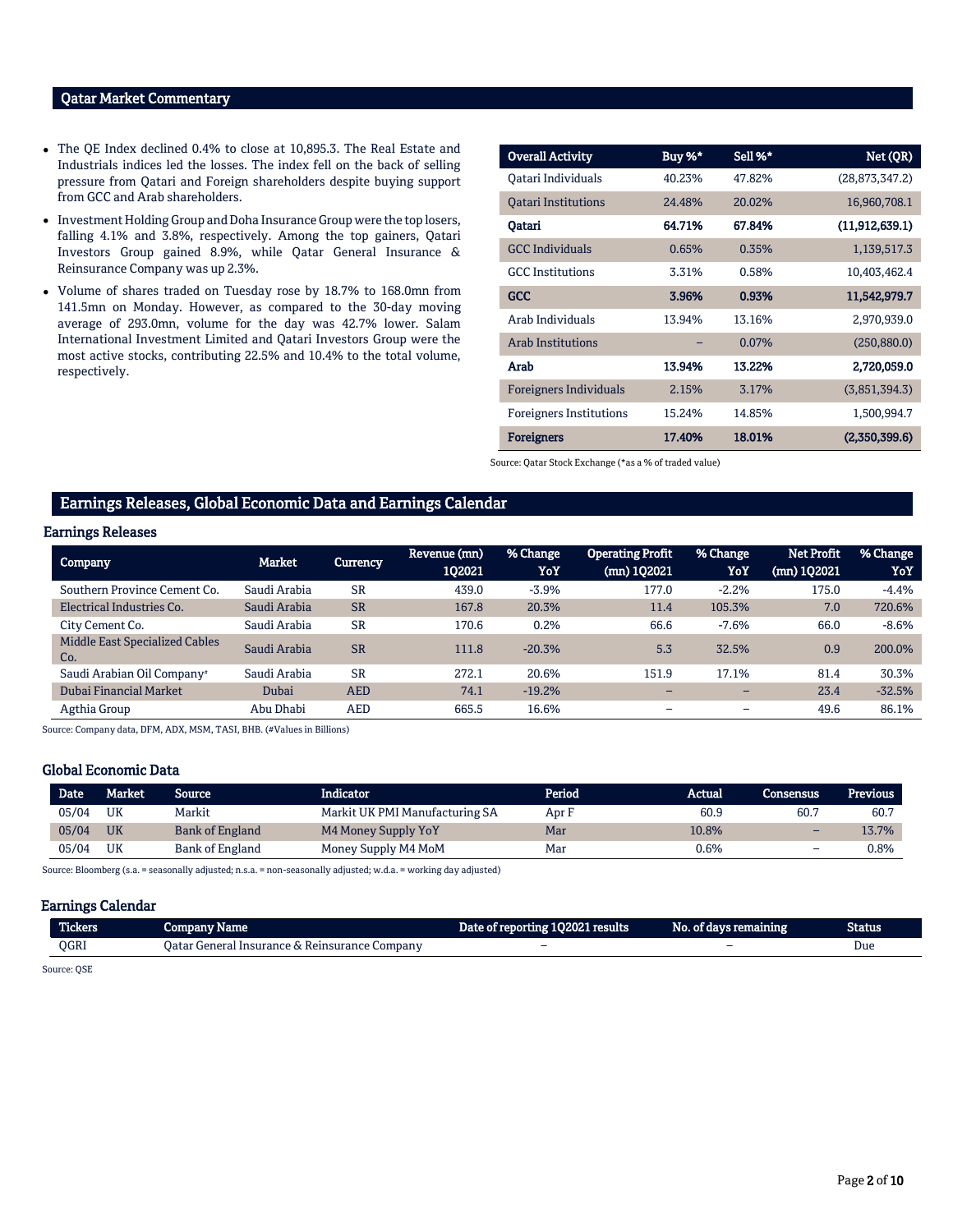## Qatar Market Commentary

- The QE Index declined 0.4% to close at 10,895.3. The Real Estate and Industrials indices led the losses. The index fell on the back of selling pressure from Qatari and Foreign shareholders despite buying support from GCC and Arab shareholders.
- Investment Holding Group and Doha Insurance Group were the top losers, falling 4.1% and 3.8%, respectively. Among the top gainers, Qatari Investors Group gained 8.9%, while Qatar General Insurance & Reinsurance Company was up 2.3%.
- Volume of shares traded on Tuesday rose by 18.7% to 168.0mn from 141.5mn on Monday. However, as compared to the 30-day moving average of 293.0mn, volume for the day was 42.7% lower. Salam International Investment Limited and Qatari Investors Group were the most active stocks, contributing 22.5% and 10.4% to the total volume, respectively.

| <b>Overall Activity</b>        | Buy %* | Sell %* | Net (QR)         |
|--------------------------------|--------|---------|------------------|
| Oatari Individuals             | 40.23% | 47.82%  | (28, 873, 347.2) |
| <b>Oatari Institutions</b>     | 24.48% | 20.02%  | 16,960,708.1     |
| Oatari                         | 64.71% | 67.84%  | (11, 912, 639.1) |
| <b>GCC</b> Individuals         | 0.65%  | 0.35%   | 1,139,517.3      |
| <b>GCC</b> Institutions        | 3.31%  | 0.58%   | 10,403,462.4     |
| GCC                            | 3.96%  | 0.93%   | 11,542,979.7     |
| Arab Individuals               | 13.94% | 13.16%  | 2,970,939.0      |
| <b>Arab Institutions</b>       |        | 0.07%   | (250, 880.0)     |
| Arab                           | 13.94% | 13.22%  | 2,720,059.0      |
| <b>Foreigners Individuals</b>  | 2.15%  | 3.17%   | (3,851,394.3)    |
| <b>Foreigners Institutions</b> | 15.24% | 14.85%  | 1,500,994.7      |
| <b>Foreigners</b>              | 17.40% | 18.01%  | (2,350,399.6)    |

Source: Qatar Stock Exchange (\*as a % of traded value)

#### Earnings Releases, Global Economic Data and Earnings Calendar

#### Earnings Releases

| Company                                      | Market       | Currency   | Revenue (mn)<br>1Q2021 | % Change<br>YoY | <b>Operating Profit</b><br>(mn) 102021 | % Change<br>YoY          | <b>Net Profit</b><br>(mn) 1Q2021 | % Change<br>YoY |
|----------------------------------------------|--------------|------------|------------------------|-----------------|----------------------------------------|--------------------------|----------------------------------|-----------------|
| Southern Province Cement Co.                 | Saudi Arabia | <b>SR</b>  | 439.0                  | $-3.9%$         | 177.0                                  | $-2.2%$                  | 175.0                            | $-4.4%$         |
| Electrical Industries Co.                    | Saudi Arabia | <b>SR</b>  | 167.8                  | 20.3%           | 11.4                                   | 105.3%                   | 7.0                              | 720.6%          |
| City Cement Co.                              | Saudi Arabia | <b>SR</b>  | 170.6                  | 0.2%            | 66.6                                   | $-7.6%$                  | 66.0                             | $-8.6%$         |
| <b>Middle East Specialized Cables</b><br>Co. | Saudi Arabia | <b>SR</b>  | 111.8                  | $-20.3%$        | 5.3                                    | 32.5%                    | 0.9                              | 200.0%          |
| Saudi Arabian Oil Company <sup>#</sup>       | Saudi Arabia | <b>SR</b>  | 272.1                  | 20.6%           | 151.9                                  | 17.1%                    | 81.4                             | 30.3%           |
| Dubai Financial Market                       | Dubai        | <b>AED</b> | 74.1                   | $-19.2%$        |                                        |                          | 23.4                             | $-32.5%$        |
| Agthia Group                                 | Abu Dhabi    | <b>AED</b> | 665.5                  | 16.6%           | $\overline{\phantom{0}}$               | $\overline{\phantom{0}}$ | 49.6                             | 86.1%           |

Source: Company data, DFM, ADX, MSM, TASI, BHB. (#Values in Billions)

# Global Economic Data

| Date  | Market'   | Source                 | Indicator                      | Period. | Actual | Consensus | Previous |
|-------|-----------|------------------------|--------------------------------|---------|--------|-----------|----------|
| 05/04 | UK        | Markit                 | Markit UK PMI Manufacturing SA | Apr F   | 60.9   | 60.7      | 60.7     |
| 05/04 | <b>UK</b> | <b>Bank of England</b> | M4 Money Supply YoY            | Mar     | 10.8%  | -         | 13.7%    |
| 05/04 | UK        | Bank of England        | Money Supply M4 MoM            | Mar     | 0.6%   |           | 0.8%     |

Source: Bloomberg (s.a. = seasonally adjusted; n.s.a. = non-seasonally adjusted; w.d.a. = working day adjusted)

#### Earnings Calendar

| <b>Tickers</b> | $-000000W$<br>Name                                                     | of reporting 102021 results \<br>Jate | No. of davs remaining <b>b</b> | Status |
|----------------|------------------------------------------------------------------------|---------------------------------------|--------------------------------|--------|
| QGRI<br>'Jatai | : Reinsurance :<br>Company<br>General<br>' Insurance i<br>$\mathbf{A}$ |                                       | $\overline{\phantom{a}}$       | Due    |

Source: QSE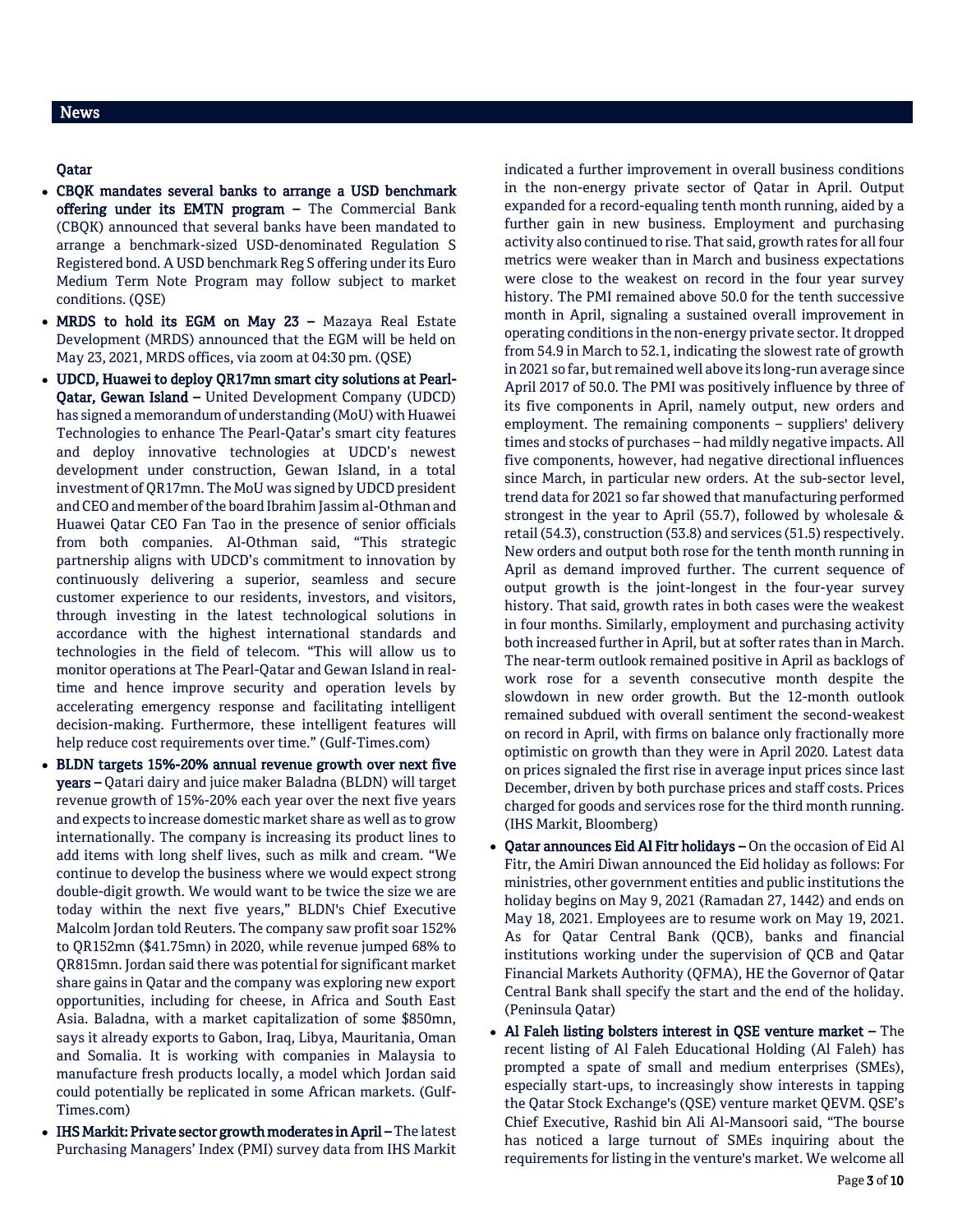# Qatar

- CBQK mandates several banks to arrange a USD benchmark offering under its EMTN program – The Commercial Bank (CBQK) announced that several banks have been mandated to arrange a benchmark-sized USD-denominated Regulation S Registered bond. A USD benchmark Reg S offering under its Euro Medium Term Note Program may follow subject to market conditions. (QSE)
- MRDS to hold its EGM on May 23 Mazaya Real Estate Development (MRDS) announced that the EGM will be held on May 23, 2021, MRDS offices, via zoom at 04:30 pm. (QSE)
- UDCD, Huawei to deploy QR17mn smart city solutions at Pearl-Qatar, Gewan Island – United Development Company (UDCD) has signed a memorandum of understanding (MoU) with Huawei Technologies to enhance The Pearl-Qatar's smart city features and deploy innovative technologies at UDCD's newest development under construction, Gewan Island, in a total investment of QR17mn. The MoU was signed by UDCD president and CEO and member of the board Ibrahim Jassim al-Othman and Huawei Qatar CEO Fan Tao in the presence of senior officials from both companies. Al-Othman said, "This strategic partnership aligns with UDCD's commitment to innovation by continuously delivering a superior, seamless and secure customer experience to our residents, investors, and visitors, through investing in the latest technological solutions in accordance with the highest international standards and technologies in the field of telecom. "This will allow us to monitor operations at The Pearl-Qatar and Gewan Island in realtime and hence improve security and operation levels by accelerating emergency response and facilitating intelligent decision-making. Furthermore, these intelligent features will help reduce cost requirements over time." (Gulf-Times.com)
- BLDN targets 15%-20% annual revenue growth over next five years – Qatari dairy and juice maker Baladna (BLDN) will target revenue growth of 15%-20% each year over the next five years and expects to increase domestic market share as well as to grow internationally. The company is increasing its product lines to add items with long shelf lives, such as milk and cream. "We continue to develop the business where we would expect strong double-digit growth. We would want to be twice the size we are today within the next five years," BLDN's Chief Executive Malcolm Jordan told Reuters. The company saw profit soar 152% to QR152mn (\$41.75mn) in 2020, while revenue jumped 68% to QR815mn. Jordan said there was potential for significant market share gains in Qatar and the company was exploring new export opportunities, including for cheese, in Africa and South East Asia. Baladna, with a market capitalization of some \$850mn, says it already exports to Gabon, Iraq, Libya, Mauritania, Oman and Somalia. It is working with companies in Malaysia to manufacture fresh products locally, a model which Jordan said could potentially be replicated in some African markets. (Gulf-Times.com)
- IHS Markit: Private sector growth moderates in April The latest Purchasing Managers' Index (PMI) survey data from IHS Markit

indicated a further improvement in overall business conditions in the non-energy private sector of Qatar in April. Output expanded for a record-equaling tenth month running, aided by a further gain in new business. Employment and purchasing activity also continued to rise. That said, growth rates for all four metrics were weaker than in March and business expectations were close to the weakest on record in the four year survey history. The PMI remained above 50.0 for the tenth successive month in April, signaling a sustained overall improvement in operating conditions in the non-energy private sector. It dropped from 54.9 in March to 52.1, indicating the slowest rate of growth in 2021 so far, but remained well above its long-run average since April 2017 of 50.0. The PMI was positively influence by three of its five components in April, namely output, new orders and employment. The remaining components – suppliers' delivery times and stocks of purchases – had mildly negative impacts. All five components, however, had negative directional influences since March, in particular new orders. At the sub-sector level, trend data for 2021 so far showed that manufacturing performed strongest in the year to April (55.7), followed by wholesale & retail (54.3), construction (53.8) and services (51.5) respectively. New orders and output both rose for the tenth month running in April as demand improved further. The current sequence of output growth is the joint-longest in the four-year survey history. That said, growth rates in both cases were the weakest in four months. Similarly, employment and purchasing activity both increased further in April, but at softer rates than in March. The near-term outlook remained positive in April as backlogs of work rose for a seventh consecutive month despite the slowdown in new order growth. But the 12-month outlook remained subdued with overall sentiment the second-weakest on record in April, with firms on balance only fractionally more optimistic on growth than they were in April 2020. Latest data on prices signaled the first rise in average input prices since last December, driven by both purchase prices and staff costs. Prices charged for goods and services rose for the third month running. (IHS Markit, Bloomberg)

- Qatar announces Eid Al Fitr holidays On the occasion of Eid Al Fitr, the Amiri Diwan announced the Eid holiday as follows: For ministries, other government entities and public institutions the holiday begins on May 9, 2021 (Ramadan 27, 1442) and ends on May 18, 2021. Employees are to resume work on May 19, 2021. As for Qatar Central Bank (QCB), banks and financial institutions working under the supervision of QCB and Qatar Financial Markets Authority (QFMA), HE the Governor of Qatar Central Bank shall specify the start and the end of the holiday. (Peninsula Qatar)
- Al Faleh listing bolsters interest in QSE venture market The recent listing of Al Faleh Educational Holding (Al Faleh) has prompted a spate of small and medium enterprises (SMEs), especially start-ups, to increasingly show interests in tapping the Qatar Stock Exchange's (QSE) venture market QEVM. QSE's Chief Executive, Rashid bin Ali Al-Mansoori said, "The bourse has noticed a large turnout of SMEs inquiring about the requirements for listing in the venture's market. We welcome all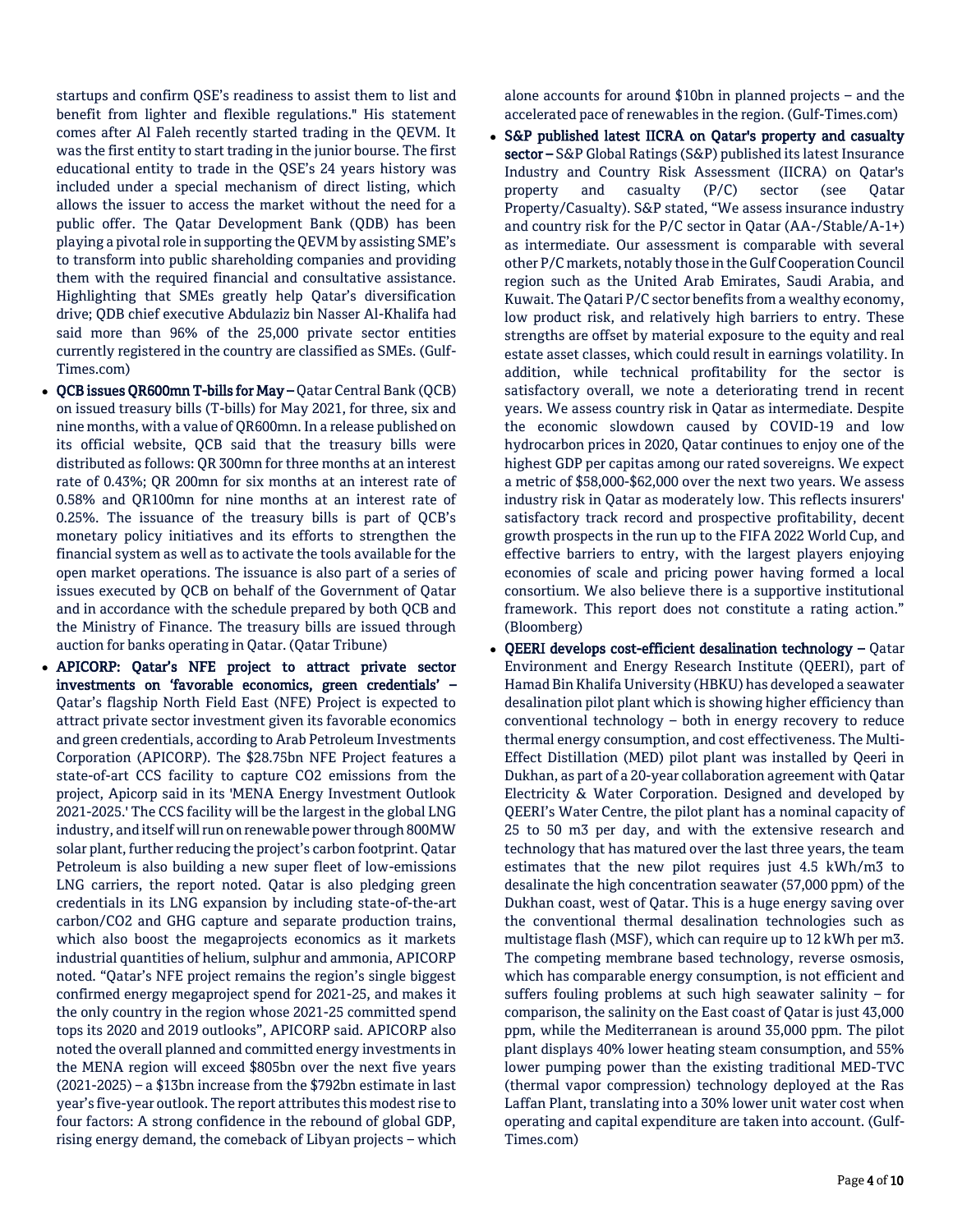startups and confirm QSE's readiness to assist them to list and benefit from lighter and flexible regulations." His statement comes after Al Faleh recently started trading in the QEVM. It was the first entity to start trading in the junior bourse. The first educational entity to trade in the QSE's 24 years history was included under a special mechanism of direct listing, which allows the issuer to access the market without the need for a public offer. The Qatar Development Bank (QDB) has been playing a pivotal role in supporting the QEVM by assisting SME's to transform into public shareholding companies and providing them with the required financial and consultative assistance. Highlighting that SMEs greatly help Qatar's diversification drive; QDB chief executive Abdulaziz bin Nasser Al-Khalifa had said more than 96% of the 25,000 private sector entities currently registered in the country are classified as SMEs. (Gulf-Times.com)

- QCB issues QR600mn T-bills for May Qatar Central Bank (QCB) on issued treasury bills (T-bills) for May 2021, for three, six and nine months, with a value of QR600mn. In a release published on its official website, QCB said that the treasury bills were distributed as follows: QR 300mn for three months at an interest rate of 0.43%; QR 200mn for six months at an interest rate of 0.58% and QR100mn for nine months at an interest rate of 0.25%. The issuance of the treasury bills is part of QCB's monetary policy initiatives and its efforts to strengthen the financial system as well as to activate the tools available for the open market operations. The issuance is also part of a series of issues executed by QCB on behalf of the Government of Qatar and in accordance with the schedule prepared by both QCB and the Ministry of Finance. The treasury bills are issued through auction for banks operating in Qatar. (Qatar Tribune)
- APICORP: Qatar's NFE project to attract private sector investments on 'favorable economics, green credentials' – Qatar's flagship North Field East (NFE) Project is expected to attract private sector investment given its favorable economics and green credentials, according to Arab Petroleum Investments Corporation (APICORP). The \$28.75bn NFE Project features a state-of-art CCS facility to capture CO2 emissions from the project, Apicorp said in its 'MENA Energy Investment Outlook 2021-2025.' The CCS facility will be the largest in the global LNG industry, and itself will run on renewable power through 800MW solar plant, further reducing the project's carbon footprint. Qatar Petroleum is also building a new super fleet of low-emissions LNG carriers, the report noted. Qatar is also pledging green credentials in its LNG expansion by including state-of-the-art carbon/CO2 and GHG capture and separate production trains, which also boost the megaprojects economics as it markets industrial quantities of helium, sulphur and ammonia, APICORP noted. "Qatar's NFE project remains the region's single biggest confirmed energy megaproject spend for 2021-25, and makes it the only country in the region whose 2021-25 committed spend tops its 2020 and 2019 outlooks", APICORP said. APICORP also noted the overall planned and committed energy investments in the MENA region will exceed \$805bn over the next five years (2021-2025) – a \$13bn increase from the \$792bn estimate in last year's five-year outlook. The report attributes this modest rise to four factors: A strong confidence in the rebound of global GDP, rising energy demand, the comeback of Libyan projects – which

alone accounts for around \$10bn in planned projects – and the accelerated pace of renewables in the region. (Gulf-Times.com)

- S&P published latest IICRA on Qatar's property and casualty sector – S&P Global Ratings (S&P) published its latest Insurance Industry and Country Risk Assessment (IICRA) on Qatar's property and casualty (P/C) sector (see Qatar Property/Casualty). S&P stated, "We assess insurance industry and country risk for the P/C sector in Qatar (AA-/Stable/A-1+) as intermediate. Our assessment is comparable with several other P/C markets, notably those in the Gulf Cooperation Council region such as the United Arab Emirates, Saudi Arabia, and Kuwait. The Qatari P/C sector benefits from a wealthy economy, low product risk, and relatively high barriers to entry. These strengths are offset by material exposure to the equity and real estate asset classes, which could result in earnings volatility. In addition, while technical profitability for the sector is satisfactory overall, we note a deteriorating trend in recent years. We assess country risk in Qatar as intermediate. Despite the economic slowdown caused by COVID-19 and low hydrocarbon prices in 2020, Qatar continues to enjoy one of the highest GDP per capitas among our rated sovereigns. We expect a metric of \$58,000-\$62,000 over the next two years. We assess industry risk in Qatar as moderately low. This reflects insurers' satisfactory track record and prospective profitability, decent growth prospects in the run up to the FIFA 2022 World Cup, and effective barriers to entry, with the largest players enjoying economies of scale and pricing power having formed a local consortium. We also believe there is a supportive institutional framework. This report does not constitute a rating action." (Bloomberg)
- QEERI develops cost-efficient desalination technology Qatar Environment and Energy Research Institute (QEERI), part of Hamad Bin Khalifa University (HBKU) has developed a seawater desalination pilot plant which is showing higher efficiency than conventional technology – both in energy recovery to reduce thermal energy consumption, and cost effectiveness. The Multi-Effect Distillation (MED) pilot plant was installed by Qeeri in Dukhan, as part of a 20-year collaboration agreement with Qatar Electricity & Water Corporation. Designed and developed by QEERI's Water Centre, the pilot plant has a nominal capacity of 25 to 50 m3 per day, and with the extensive research and technology that has matured over the last three years, the team estimates that the new pilot requires just 4.5 kWh/m3 to desalinate the high concentration seawater (57,000 ppm) of the Dukhan coast, west of Qatar. This is a huge energy saving over the conventional thermal desalination technologies such as multistage flash (MSF), which can require up to 12 kWh per m3. The competing membrane based technology, reverse osmosis, which has comparable energy consumption, is not efficient and suffers fouling problems at such high seawater salinity – for comparison, the salinity on the East coast of Qatar is just 43,000 ppm, while the Mediterranean is around 35,000 ppm. The pilot plant displays 40% lower heating steam consumption, and 55% lower pumping power than the existing traditional MED-TVC (thermal vapor compression) technology deployed at the Ras Laffan Plant, translating into a 30% lower unit water cost when operating and capital expenditure are taken into account. (Gulf-Times.com)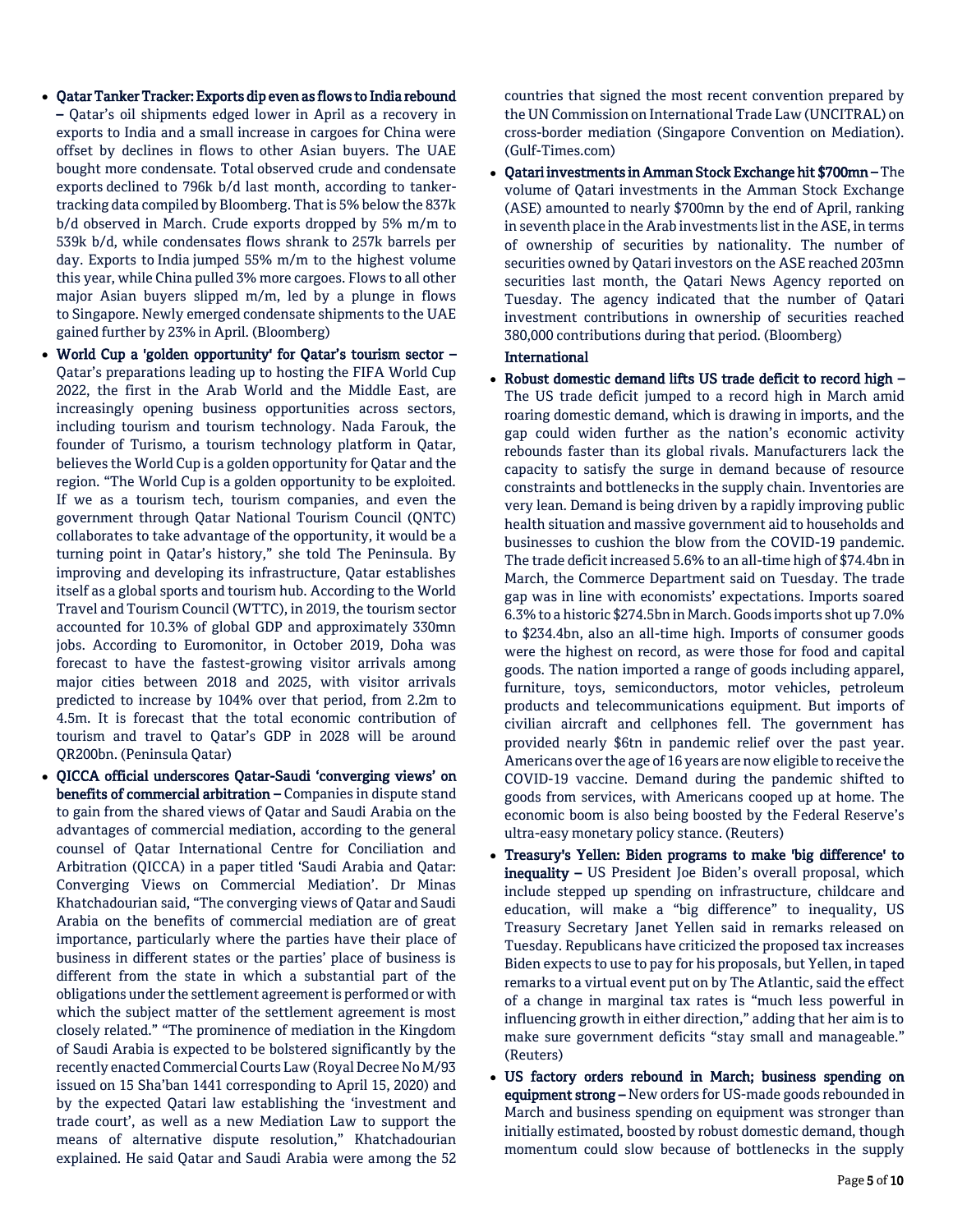- Qatar Tanker Tracker: Exports dip even as flows to India rebound – Qatar's oil shipments edged lower in April as a recovery in exports to India and a small increase in cargoes for China were offset by declines in flows to other Asian buyers. The UAE bought more condensate. Total observed crude and condensate exports declined to 796k b/d last month, according to tankertracking data compiled by Bloomberg. That is 5% below the 837k b/d observed in March. Crude exports dropped by 5% m/m to 539k b/d, while condensates flows shrank to 257k barrels per day. Exports to India jumped 55% m/m to the highest volume this year, while China pulled 3% more cargoes. Flows to all other major Asian buyers slipped m/m, led by a plunge in flows to Singapore. Newly emerged condensate shipments to the UAE gained further by 23% in April. (Bloomberg)
- World Cup a 'golden opportunity' for Qatar's tourism sector Qatar's preparations leading up to hosting the FIFA World Cup 2022, the first in the Arab World and the Middle East, are increasingly opening business opportunities across sectors, including tourism and tourism technology. Nada Farouk, the founder of Turismo, a tourism technology platform in Qatar, believes the World Cup is a golden opportunity for Qatar and the region. "The World Cup is a golden opportunity to be exploited. If we as a tourism tech, tourism companies, and even the government through Qatar National Tourism Council (QNTC) collaborates to take advantage of the opportunity, it would be a turning point in Qatar's history," she told The Peninsula. By improving and developing its infrastructure, Qatar establishes itself as a global sports and tourism hub. According to the World Travel and Tourism Council (WTTC), in 2019, the tourism sector accounted for 10.3% of global GDP and approximately 330mn jobs. According to Euromonitor, in October 2019, Doha was forecast to have the fastest-growing visitor arrivals among major cities between 2018 and 2025, with visitor arrivals predicted to increase by 104% over that period, from 2.2m to 4.5m. It is forecast that the total economic contribution of tourism and travel to Qatar's GDP in 2028 will be around QR200bn. (Peninsula Qatar)
- QICCA official underscores Qatar-Saudi 'converging views' on benefits of commercial arbitration – Companies in dispute stand to gain from the shared views of Qatar and Saudi Arabia on the advantages of commercial mediation, according to the general counsel of Qatar International Centre for Conciliation and Arbitration (QICCA) in a paper titled 'Saudi Arabia and Qatar: Converging Views on Commercial Mediation'. Dr Minas Khatchadourian said, "The converging views of Qatar and Saudi Arabia on the benefits of commercial mediation are of great importance, particularly where the parties have their place of business in different states or the parties' place of business is different from the state in which a substantial part of the obligations under the settlement agreement is performed or with which the subject matter of the settlement agreement is most closely related." "The prominence of mediation in the Kingdom of Saudi Arabia is expected to be bolstered significantly by the recently enacted Commercial Courts Law (Royal Decree No M/93 issued on 15 Sha'ban 1441 corresponding to April 15, 2020) and by the expected Qatari law establishing the 'investment and trade court', as well as a new Mediation Law to support the means of alternative dispute resolution," Khatchadourian explained. He said Qatar and Saudi Arabia were among the 52

countries that signed the most recent convention prepared by the UN Commission on International Trade Law (UNCITRAL) on cross-border mediation (Singapore Convention on Mediation). (Gulf-Times.com)

 Qatari investments in Amman Stock Exchange hit \$700mn – The volume of Qatari investments in the Amman Stock Exchange (ASE) amounted to nearly \$700mn by the end of April, ranking in seventh place in the Arab investments list in the ASE, in terms of ownership of securities by nationality. The number of securities owned by Qatari investors on the ASE reached 203mn securities last month, the Qatari News Agency reported on Tuesday. The agency indicated that the number of Qatari investment contributions in ownership of securities reached 380,000 contributions during that period. (Bloomberg)

# International

- Robust domestic demand lifts US trade deficit to record high The US trade deficit jumped to a record high in March amid roaring domestic demand, which is drawing in imports, and the gap could widen further as the nation's economic activity rebounds faster than its global rivals. Manufacturers lack the capacity to satisfy the surge in demand because of resource constraints and bottlenecks in the supply chain. Inventories are very lean. Demand is being driven by a rapidly improving public health situation and massive government aid to households and businesses to cushion the blow from the COVID-19 pandemic. The trade deficit increased 5.6% to an all-time high of \$74.4bn in March, the Commerce Department said on Tuesday. The trade gap was in line with economists' expectations. Imports soared 6.3% to a historic \$274.5bn in March. Goods imports shot up 7.0% to \$234.4bn, also an all-time high. Imports of consumer goods were the highest on record, as were those for food and capital goods. The nation imported a range of goods including apparel, furniture, toys, semiconductors, motor vehicles, petroleum products and telecommunications equipment. But imports of civilian aircraft and cellphones fell. The government has provided nearly \$6tn in pandemic relief over the past year. Americans over the age of 16 years are now eligible to receive the COVID-19 vaccine. Demand during the pandemic shifted to goods from services, with Americans cooped up at home. The economic boom is also being boosted by the Federal Reserve's ultra-easy monetary policy stance. (Reuters)
- Treasury's Yellen: Biden programs to make 'big difference' to inequality - US President Joe Biden's overall proposal, which include stepped up spending on infrastructure, childcare and education, will make a "big difference" to inequality, US Treasury Secretary Janet Yellen said in remarks released on Tuesday. Republicans have criticized the proposed tax increases Biden expects to use to pay for his proposals, but Yellen, in taped remarks to a virtual event put on by The Atlantic, said the effect of a change in marginal tax rates is "much less powerful in influencing growth in either direction," adding that her aim is to make sure government deficits "stay small and manageable." (Reuters)
- US factory orders rebound in March; business spending on equipment strong - New orders for US-made goods rebounded in March and business spending on equipment was stronger than initially estimated, boosted by robust domestic demand, though momentum could slow because of bottlenecks in the supply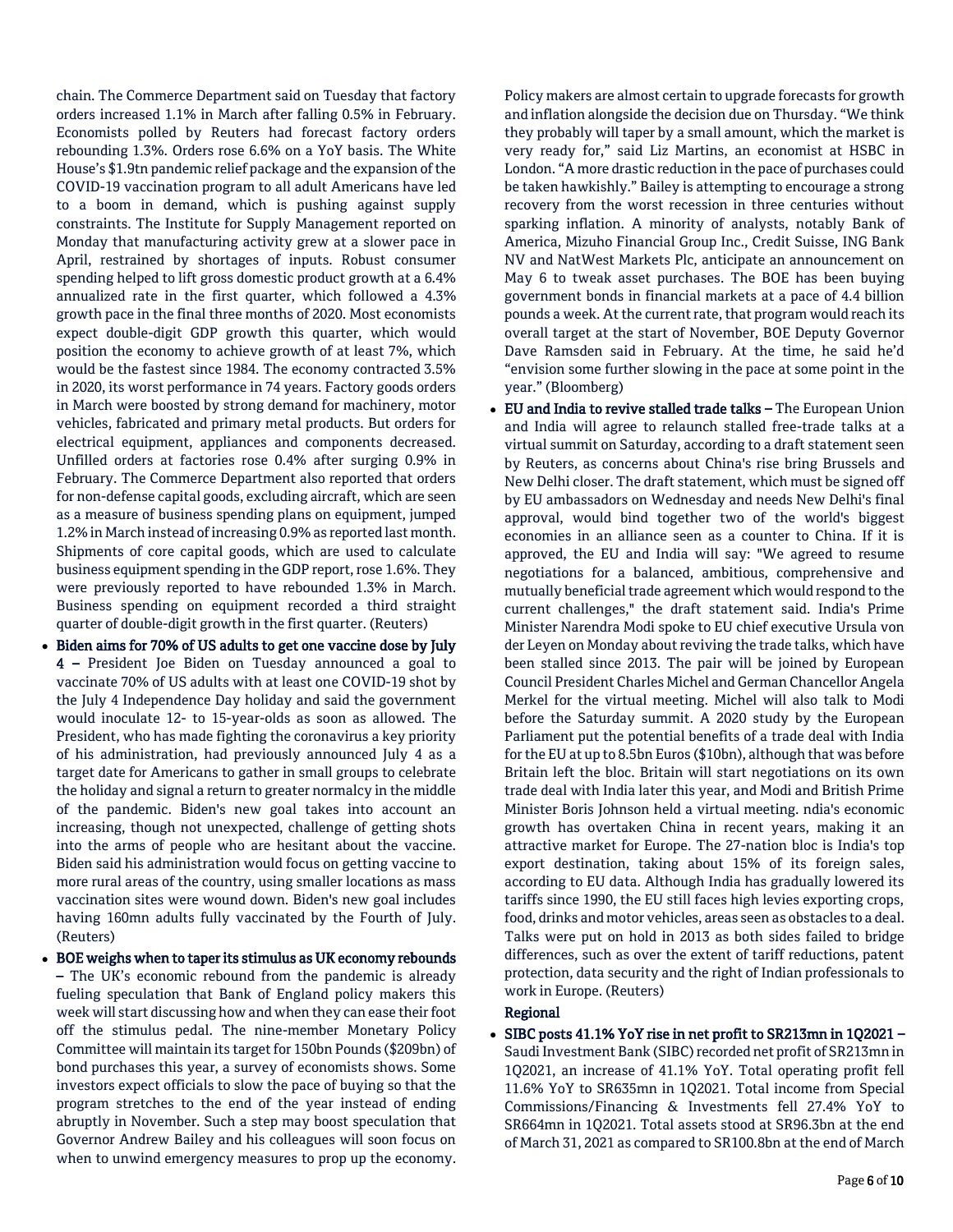chain. The Commerce Department said on Tuesday that factory orders increased 1.1% in March after falling 0.5% in February. Economists polled by Reuters had forecast factory orders rebounding 1.3%. Orders rose 6.6% on a YoY basis. The White House's \$1.9tn pandemic relief package and the expansion of the COVID-19 vaccination program to all adult Americans have led to a boom in demand, which is pushing against supply constraints. The Institute for Supply Management reported on Monday that manufacturing activity grew at a slower pace in April, restrained by shortages of inputs. Robust consumer spending helped to lift gross domestic product growth at a 6.4% annualized rate in the first quarter, which followed a 4.3% growth pace in the final three months of 2020. Most economists expect double-digit GDP growth this quarter, which would position the economy to achieve growth of at least 7%, which would be the fastest since 1984. The economy contracted 3.5% in 2020, its worst performance in 74 years. Factory goods orders in March were boosted by strong demand for machinery, motor vehicles, fabricated and primary metal products. But orders for electrical equipment, appliances and components decreased. Unfilled orders at factories rose 0.4% after surging 0.9% in February. The Commerce Department also reported that orders for non-defense capital goods, excluding aircraft, which are seen as a measure of business spending plans on equipment, jumped 1.2% in March instead of increasing 0.9% as reported last month. Shipments of core capital goods, which are used to calculate business equipment spending in the GDP report, rose 1.6%. They were previously reported to have rebounded 1.3% in March. Business spending on equipment recorded a third straight quarter of double-digit growth in the first quarter. (Reuters)

- Biden aims for 70% of US adults to get one vaccine dose by July 4 – President Joe Biden on Tuesday announced a goal to vaccinate 70% of US adults with at least one COVID-19 shot by the July 4 Independence Day holiday and said the government would inoculate 12- to 15-year-olds as soon as allowed. The President, who has made fighting the coronavirus a key priority of his administration, had previously announced July 4 as a target date for Americans to gather in small groups to celebrate the holiday and signal a return to greater normalcy in the middle of the pandemic. Biden's new goal takes into account an increasing, though not unexpected, challenge of getting shots into the arms of people who are hesitant about the vaccine. Biden said his administration would focus on getting vaccine to more rural areas of the country, using smaller locations as mass vaccination sites were wound down. Biden's new goal includes having 160mn adults fully vaccinated by the Fourth of July. (Reuters)
- BOE weighs when to taper its stimulus as UK economy rebounds – The UK's economic rebound from the pandemic is already fueling speculation that Bank of England policy makers this week will start discussing how and when they can ease their foot off the stimulus pedal. The nine-member Monetary Policy Committee will maintain its target for 150bn Pounds (\$209bn) of bond purchases this year, a survey of economists shows. Some investors expect officials to slow the pace of buying so that the program stretches to the end of the year instead of ending abruptly in November. Such a step may boost speculation that Governor Andrew Bailey and his colleagues will soon focus on when to unwind emergency measures to prop up the economy.

Policy makers are almost certain to upgrade forecasts for growth and inflation alongside the decision due on Thursday. "We think they probably will taper by a small amount, which the market is very ready for," said Liz Martins, an economist at HSBC in London. "A more drastic reduction in the pace of purchases could be taken hawkishly." Bailey is attempting to encourage a strong recovery from the worst recession in three centuries without sparking inflation. A minority of analysts, notably Bank of America, Mizuho Financial Group Inc., Credit Suisse, ING Bank NV and NatWest Markets Plc, anticipate an announcement on May 6 to tweak asset purchases. The BOE has been buying government bonds in financial markets at a pace of 4.4 billion pounds a week. At the current rate, that program would reach its overall target at the start of November, BOE Deputy Governor Dave Ramsden said in February. At the time, he said he'd "envision some further slowing in the pace at some point in the year." (Bloomberg)

 EU and India to revive stalled trade talks – The European Union and India will agree to relaunch stalled free-trade talks at a virtual summit on Saturday, according to a draft statement seen by Reuters, as concerns about China's rise bring Brussels and New Delhi closer. The draft statement, which must be signed off by EU ambassadors on Wednesday and needs New Delhi's final approval, would bind together two of the world's biggest economies in an alliance seen as a counter to China. If it is approved, the EU and India will say: "We agreed to resume negotiations for a balanced, ambitious, comprehensive and mutually beneficial trade agreement which would respond to the current challenges," the draft statement said. India's Prime Minister Narendra Modi spoke to EU chief executive Ursula von der Leyen on Monday about reviving the trade talks, which have been stalled since 2013. The pair will be joined by European Council President Charles Michel and German Chancellor Angela Merkel for the virtual meeting. Michel will also talk to Modi before the Saturday summit. A 2020 study by the European Parliament put the potential benefits of a trade deal with India for the EU at up to 8.5bn Euros (\$10bn), although that was before Britain left the bloc. Britain will start negotiations on its own trade deal with India later this year, and Modi and British Prime Minister Boris Johnson held a virtual meeting. ndia's economic growth has overtaken China in recent years, making it an attractive market for Europe. The 27-nation bloc is India's top export destination, taking about 15% of its foreign sales, according to EU data. Although India has gradually lowered its tariffs since 1990, the EU still faces high levies exporting crops, food, drinks and motor vehicles, areas seen as obstacles to a deal. Talks were put on hold in 2013 as both sides failed to bridge differences, such as over the extent of tariff reductions, patent protection, data security and the right of Indian professionals to work in Europe. (Reuters)

### Regional

 SIBC posts 41.1% YoY rise in net profit to SR213mn in 1Q2021 – Saudi Investment Bank (SIBC) recorded net profit of SR213mn in 1Q2021, an increase of 41.1% YoY. Total operating profit fell 11.6% YoY to SR635mn in 1Q2021. Total income from Special Commissions/Financing & Investments fell 27.4% YoY to SR664mn in 1Q2021. Total assets stood at SR96.3bn at the end of March 31, 2021 as compared to SR100.8bn at the end of March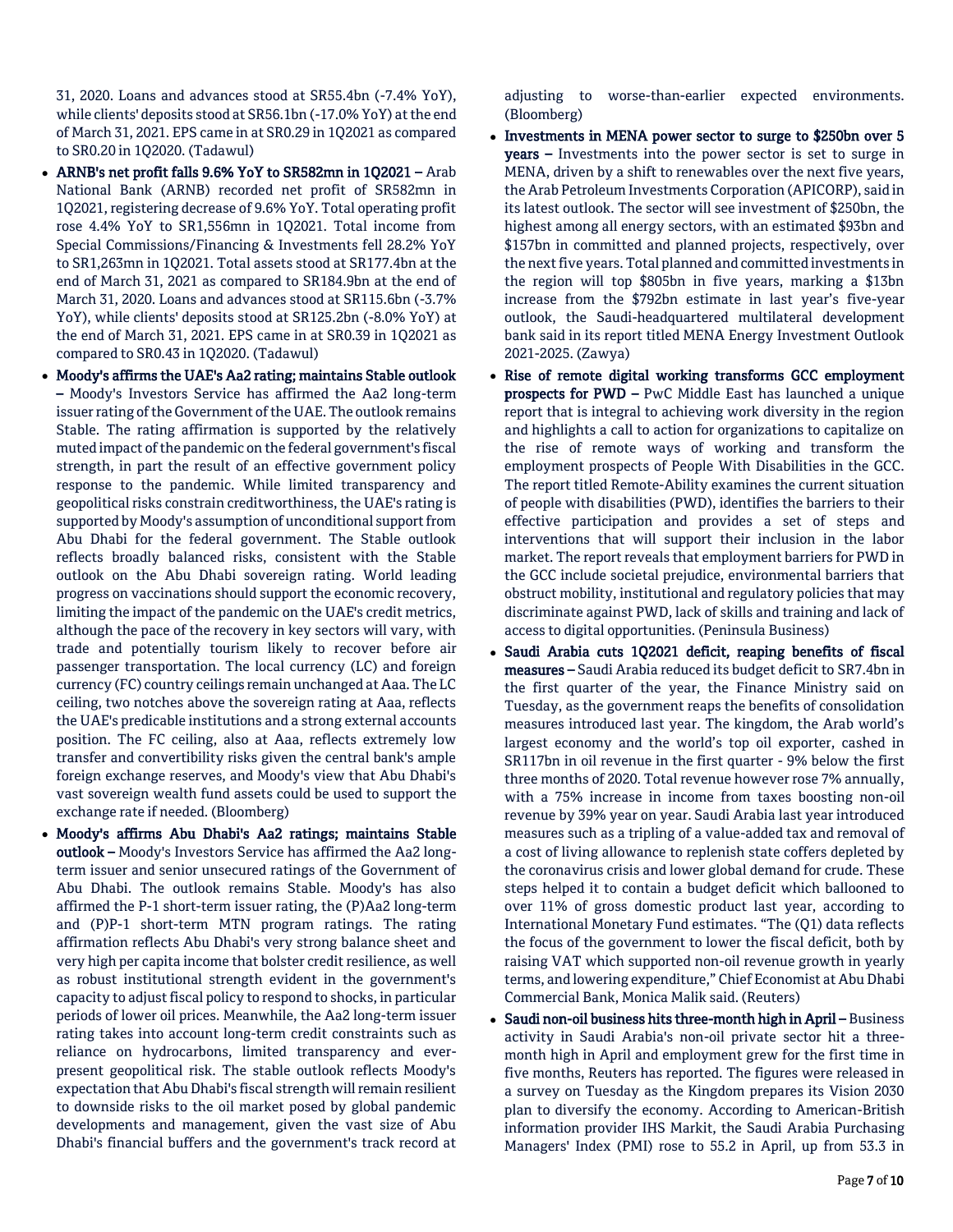31, 2020. Loans and advances stood at SR55.4bn (-7.4% YoY), while clients' deposits stood at SR56.1bn (-17.0% YoY) at the end of March 31, 2021. EPS came in at SR0.29 in 1Q2021 as compared to SR0.20 in 1Q2020. (Tadawul)

- ARNB's net profit falls 9.6% YoY to SR582mn in 1Q2021 Arab National Bank (ARNB) recorded net profit of SR582mn in 1Q2021, registering decrease of 9.6% YoY. Total operating profit rose 4.4% YoY to SR1,556mn in 1Q2021. Total income from Special Commissions/Financing & Investments fell 28.2% YoY to SR1,263mn in 1Q2021. Total assets stood at SR177.4bn at the end of March 31, 2021 as compared to SR184.9bn at the end of March 31, 2020. Loans and advances stood at SR115.6bn (-3.7% YoY), while clients' deposits stood at SR125.2bn (-8.0% YoY) at the end of March 31, 2021. EPS came in at SR0.39 in 1Q2021 as compared to SR0.43 in 1Q2020. (Tadawul)
- Moody's affirms the UAE's Aa2 rating; maintains Stable outlook – Moody's Investors Service has affirmed the Aa2 long-term issuer rating of the Government of the UAE. The outlook remains Stable. The rating affirmation is supported by the relatively muted impact of the pandemic on the federal government's fiscal strength, in part the result of an effective government policy response to the pandemic. While limited transparency and geopolitical risks constrain creditworthiness, the UAE's rating is supported by Moody's assumption of unconditional support from Abu Dhabi for the federal government. The Stable outlook reflects broadly balanced risks, consistent with the Stable outlook on the Abu Dhabi sovereign rating. World leading progress on vaccinations should support the economic recovery, limiting the impact of the pandemic on the UAE's credit metrics, although the pace of the recovery in key sectors will vary, with trade and potentially tourism likely to recover before air passenger transportation. The local currency (LC) and foreign currency (FC) country ceilings remain unchanged at Aaa. The LC ceiling, two notches above the sovereign rating at Aaa, reflects the UAE's predicable institutions and a strong external accounts position. The FC ceiling, also at Aaa, reflects extremely low transfer and convertibility risks given the central bank's ample foreign exchange reserves, and Moody's view that Abu Dhabi's vast sovereign wealth fund assets could be used to support the exchange rate if needed. (Bloomberg)
- Moody's affirms Abu Dhabi's Aa2 ratings; maintains Stable outlook – Moody's Investors Service has affirmed the Aa2 longterm issuer and senior unsecured ratings of the Government of Abu Dhabi. The outlook remains Stable. Moody's has also affirmed the P-1 short-term issuer rating, the (P)Aa2 long-term and (P)P-1 short-term MTN program ratings. The rating affirmation reflects Abu Dhabi's very strong balance sheet and very high per capita income that bolster credit resilience, as well as robust institutional strength evident in the government's capacity to adjust fiscal policy to respond to shocks, in particular periods of lower oil prices. Meanwhile, the Aa2 long-term issuer rating takes into account long-term credit constraints such as reliance on hydrocarbons, limited transparency and everpresent geopolitical risk. The stable outlook reflects Moody's expectation that Abu Dhabi's fiscal strength will remain resilient to downside risks to the oil market posed by global pandemic developments and management, given the vast size of Abu Dhabi's financial buffers and the government's track record at

adjusting to worse-than-earlier expected environments. (Bloomberg)

- Investments in MENA power sector to surge to \$250bn over 5 years – Investments into the power sector is set to surge in MENA, driven by a shift to renewables over the next five years, the Arab Petroleum Investments Corporation (APICORP), said in its latest outlook. The sector will see investment of \$250bn, the highest among all energy sectors, with an estimated \$93bn and \$157bn in committed and planned projects, respectively, over the next five years. Total planned and committed investments in the region will top \$805bn in five years, marking a \$13bn increase from the \$792bn estimate in last year's five-year outlook, the Saudi-headquartered multilateral development bank said in its report titled MENA Energy Investment Outlook 2021-2025. (Zawya)
- Rise of remote digital working transforms GCC employment prospects for PWD – PwC Middle East has launched a unique report that is integral to achieving work diversity in the region and highlights a call to action for organizations to capitalize on the rise of remote ways of working and transform the employment prospects of People With Disabilities in the GCC. The report titled Remote-Ability examines the current situation of people with disabilities (PWD), identifies the barriers to their effective participation and provides a set of steps and interventions that will support their inclusion in the labor market. The report reveals that employment barriers for PWD in the GCC include societal prejudice, environmental barriers that obstruct mobility, institutional and regulatory policies that may discriminate against PWD, lack of skills and training and lack of access to digital opportunities. (Peninsula Business)
- Saudi Arabia cuts 1Q2021 deficit, reaping benefits of fiscal measures – Saudi Arabia reduced its budget deficit to SR7.4bn in the first quarter of the year, the Finance Ministry said on Tuesday, as the government reaps the benefits of consolidation measures introduced last year. The kingdom, the Arab world's largest economy and the world's top oil exporter, cashed in SR117bn in oil revenue in the first quarter - 9% below the first three months of 2020. Total revenue however rose 7% annually, with a 75% increase in income from taxes boosting non-oil revenue by 39% year on year. Saudi Arabia last year introduced measures such as a tripling of a value-added tax and removal of a cost of living allowance to replenish state coffers depleted by the coronavirus crisis and lower global demand for crude. These steps helped it to contain a budget deficit which ballooned to over 11% of gross domestic product last year, according to International Monetary Fund estimates. "The (Q1) data reflects the focus of the government to lower the fiscal deficit, both by raising VAT which supported non-oil revenue growth in yearly terms, and lowering expenditure," Chief Economist at Abu Dhabi Commercial Bank, Monica Malik said. (Reuters)
- Saudi non-oil business hits three-month high in April Business activity in Saudi Arabia's non-oil private sector hit a threemonth high in April and employment grew for the first time in five months, Reuters has reported. The figures were released in a survey on Tuesday as the Kingdom prepares its Vision 2030 plan to diversify the economy. According to American-British information provider IHS Markit, the Saudi Arabia Purchasing Managers' Index (PMI) rose to 55.2 in April, up from 53.3 in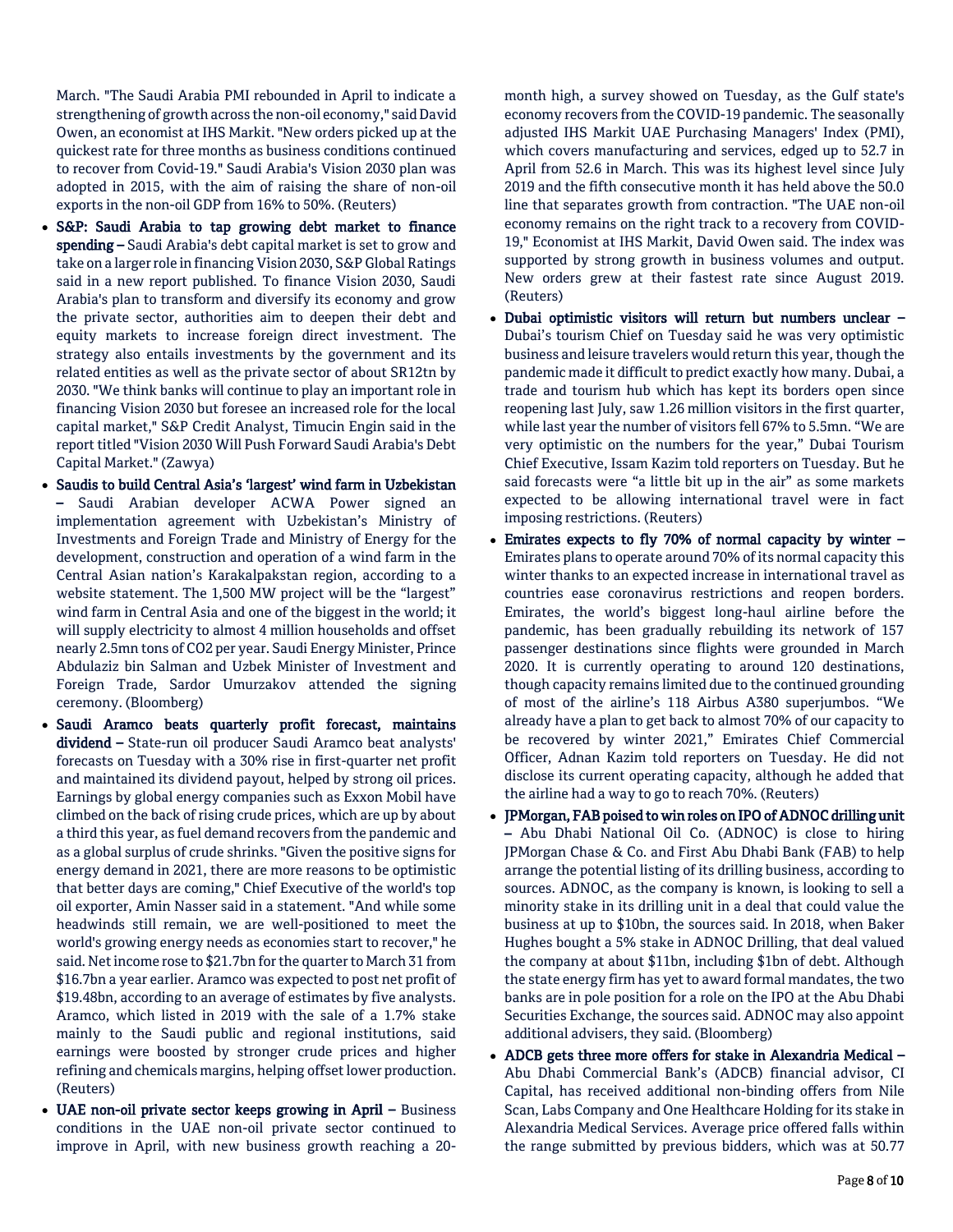March. "The Saudi Arabia PMI rebounded in April to indicate a strengthening of growth across the non-oil economy," said David Owen, an economist at IHS Markit. "New orders picked up at the quickest rate for three months as business conditions continued to recover from Covid-19." Saudi Arabia's Vision 2030 plan was adopted in 2015, with the aim of raising the share of non-oil exports in the non-oil GDP from 16% to 50%. (Reuters)

- S&P: Saudi Arabia to tap growing debt market to finance spending - Saudi Arabia's debt capital market is set to grow and take on a larger role in financing Vision 2030, S&P Global Ratings said in a new report published. To finance Vision 2030, Saudi Arabia's plan to transform and diversify its economy and grow the private sector, authorities aim to deepen their debt and equity markets to increase foreign direct investment. The strategy also entails investments by the government and its related entities as well as the private sector of about SR12tn by 2030. "We think banks will continue to play an important role in financing Vision 2030 but foresee an increased role for the local capital market," S&P Credit Analyst, Timucin Engin said in the report titled "Vision 2030 Will Push Forward Saudi Arabia's Debt Capital Market." (Zawya)
- Saudis to build Central Asia's 'largest' wind farm in Uzbekistan – Saudi Arabian developer ACWA Power signed an implementation agreement with Uzbekistan's Ministry of Investments and Foreign Trade and Ministry of Energy for the development, construction and operation of a wind farm in the Central Asian nation's Karakalpakstan region, according to a website statement. The 1,500 MW project will be the "largest" wind farm in Central Asia and one of the biggest in the world; it will supply electricity to almost 4 million households and offset nearly 2.5mn tons of CO2 per year. Saudi Energy Minister, Prince Abdulaziz bin Salman and Uzbek Minister of Investment and Foreign Trade, Sardor Umurzakov attended the signing ceremony. (Bloomberg)
- Saudi Aramco beats quarterly profit forecast, maintains dividend - State-run oil producer Saudi Aramco beat analysts' forecasts on Tuesday with a 30% rise in first-quarter net profit and maintained its dividend payout, helped by strong oil prices. Earnings by global energy companies such as Exxon Mobil have climbed on the back of rising crude prices, which are up by about a third this year, as fuel demand recovers from the pandemic and as a global surplus of crude shrinks. "Given the positive signs for energy demand in 2021, there are more reasons to be optimistic that better days are coming," Chief Executive of the world's top oil exporter, Amin Nasser said in a statement. "And while some headwinds still remain, we are well-positioned to meet the world's growing energy needs as economies start to recover," he said. Net income rose to \$21.7bn for the quarter to March 31 from \$16.7bn a year earlier. Aramco was expected to post net profit of \$19.48bn, according to an average of estimates by five analysts. Aramco, which listed in 2019 with the sale of a 1.7% stake mainly to the Saudi public and regional institutions, said earnings were boosted by stronger crude prices and higher refining and chemicals margins, helping offset lower production. (Reuters)
- UAE non-oil private sector keeps growing in April Business conditions in the UAE non-oil private sector continued to improve in April, with new business growth reaching a 20-

month high, a survey showed on Tuesday, as the Gulf state's economy recovers from the COVID-19 pandemic. The seasonally adjusted IHS Markit UAE Purchasing Managers' Index (PMI), which covers manufacturing and services, edged up to 52.7 in April from 52.6 in March. This was its highest level since July 2019 and the fifth consecutive month it has held above the 50.0 line that separates growth from contraction. "The UAE non-oil economy remains on the right track to a recovery from COVID-19," Economist at IHS Markit, David Owen said. The index was supported by strong growth in business volumes and output. New orders grew at their fastest rate since August 2019. (Reuters)

- Dubai optimistic visitors will return but numbers unclear Dubai's tourism Chief on Tuesday said he was very optimistic business and leisure travelers would return this year, though the pandemic made it difficult to predict exactly how many. Dubai, a trade and tourism hub which has kept its borders open since reopening last July, saw 1.26 million visitors in the first quarter, while last year the number of visitors fell 67% to 5.5mn. "We are very optimistic on the numbers for the year," Dubai Tourism Chief Executive, Issam Kazim told reporters on Tuesday. But he said forecasts were "a little bit up in the air" as some markets expected to be allowing international travel were in fact imposing restrictions. (Reuters)
- Emirates expects to fly 70% of normal capacity by winter Emirates plans to operate around 70% of its normal capacity this winter thanks to an expected increase in international travel as countries ease coronavirus restrictions and reopen borders. Emirates, the world's biggest long-haul airline before the pandemic, has been gradually rebuilding its network of 157 passenger destinations since flights were grounded in March 2020. It is currently operating to around 120 destinations, though capacity remains limited due to the continued grounding of most of the airline's 118 Airbus A380 superjumbos. "We already have a plan to get back to almost 70% of our capacity to be recovered by winter 2021," Emirates Chief Commercial Officer, Adnan Kazim told reporters on Tuesday. He did not disclose its current operating capacity, although he added that the airline had a way to go to reach 70%. (Reuters)
- IPMorgan, FAB poised to win roles on IPO of ADNOC drilling unit – Abu Dhabi National Oil Co. (ADNOC) is close to hiring JPMorgan Chase & Co. and First Abu Dhabi Bank (FAB) to help arrange the potential listing of its drilling business, according to sources. ADNOC, as the company is known, is looking to sell a minority stake in its drilling unit in a deal that could value the business at up to \$10bn, the sources said. In 2018, when Baker Hughes bought a 5% stake in ADNOC Drilling, that deal valued the company at about \$11bn, including \$1bn of debt. Although the state energy firm has yet to award formal mandates, the two banks are in pole position for a role on the IPO at the Abu Dhabi Securities Exchange, the sources said. ADNOC may also appoint additional advisers, they said. (Bloomberg)
- ADCB gets three more offers for stake in Alexandria Medical Abu Dhabi Commercial Bank's (ADCB) financial advisor, CI Capital, has received additional non-binding offers from Nile Scan, Labs Company and One Healthcare Holding for its stake in Alexandria Medical Services. Average price offered falls within the range submitted by previous bidders, which was at 50.77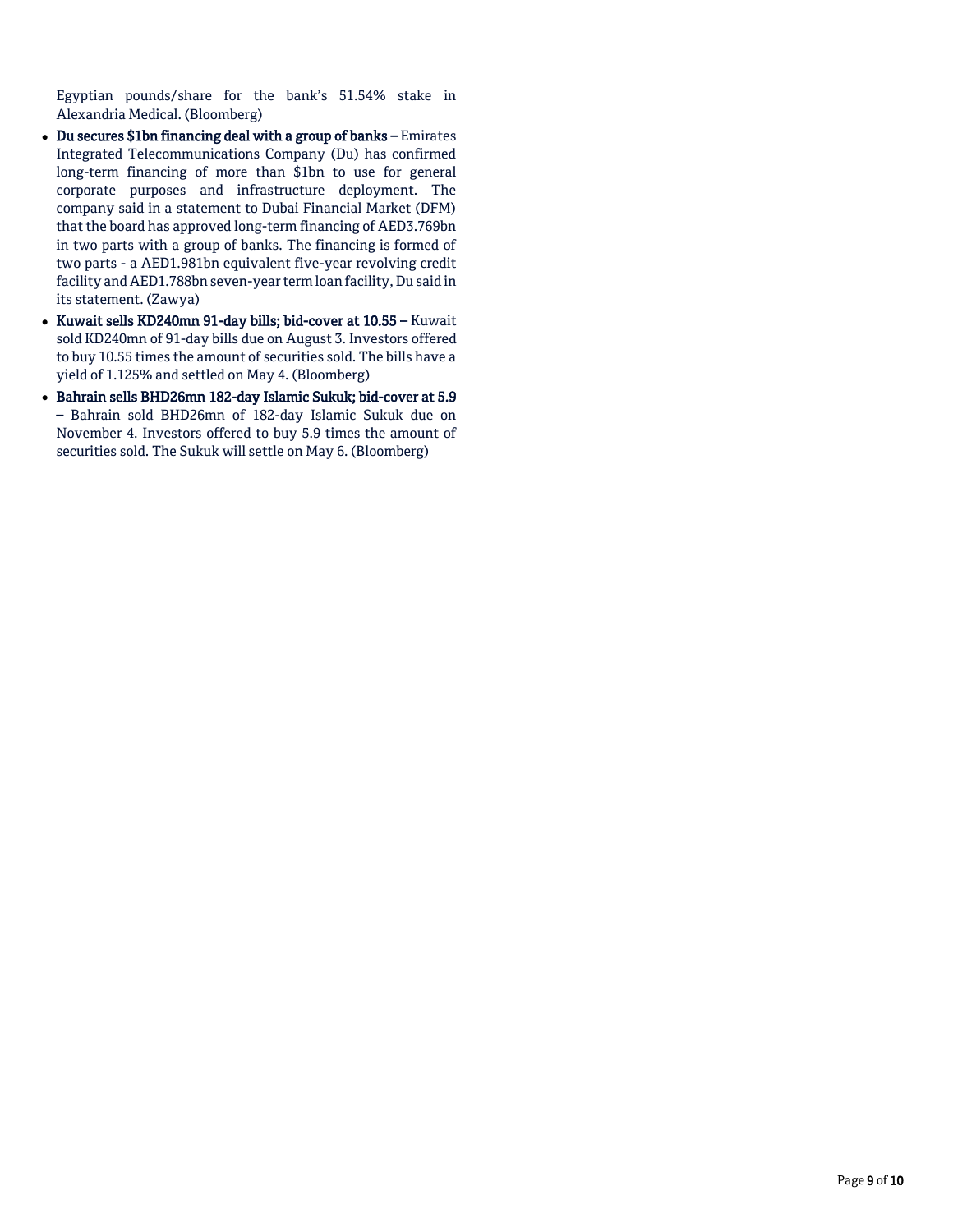Egyptian pounds/share for the bank's 51.54% stake in Alexandria Medical. (Bloomberg)

- Du secures \$1bn financing deal with a group of banks Emirates Integrated Telecommunications Company (Du) has confirmed long-term financing of more than \$1bn to use for general corporate purposes and infrastructure deployment. The company said in a statement to Dubai Financial Market (DFM) that the board has approved long-term financing of AED3.769bn in two parts with a group of banks. The financing is formed of two parts - a AED1.981bn equivalent five-year revolving credit facility and AED1.788bn seven-year term loan facility, Du said in its statement. (Zawya)
- Kuwait sells KD240mn 91-day bills; bid-cover at 10.55 Kuwait sold KD240mn of 91-day bills due on August 3. Investors offered to buy 10.55 times the amount of securities sold. The bills have a yield of 1.125% and settled on May 4. (Bloomberg)
- Bahrain sells BHD26mn 182-day Islamic Sukuk; bid-cover at 5.9 – Bahrain sold BHD26mn of 182-day Islamic Sukuk due on November 4. Investors offered to buy 5.9 times the amount of securities sold. The Sukuk will settle on May 6. (Bloomberg)